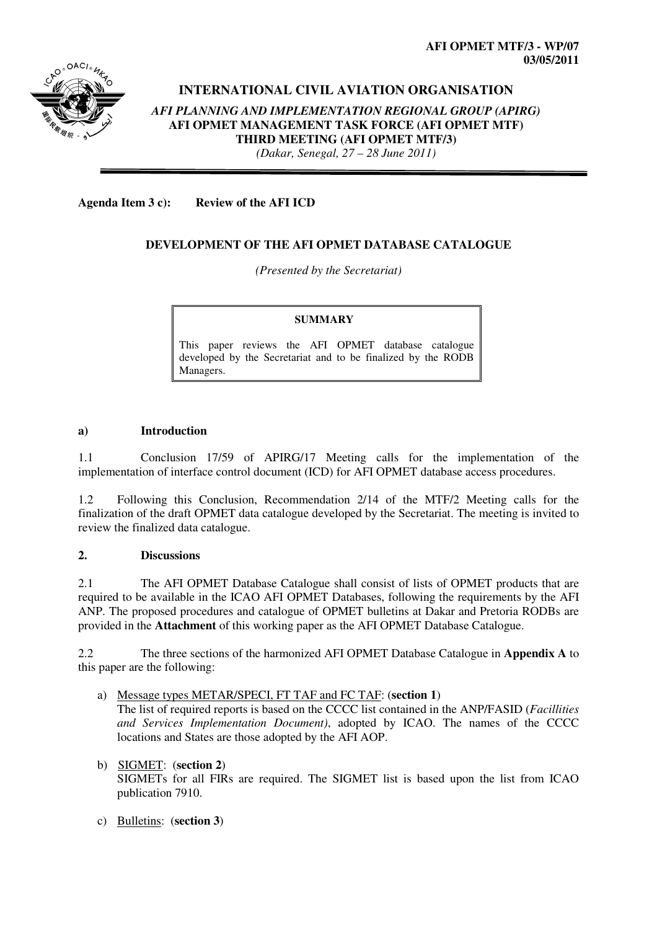

# **INTERNATIONAL CIVIL AVIATION ORGANISATION**  *AFI PLANNING AND IMPLEMENTATION REGIONAL GROUP (APIRG)* **AFI OPMET MANAGEMENT TASK FORCE (AFI OPMET MTF) THIRD MEETING (AFI OPMET MTF/3)**  *(Dakar, Senegal, 27 – 28 June 2011)*

**Agenda Item 3 c): Review of the AFI ICD** 

# **DEVELOPMENT OF THE AFI OPMET DATABASE CATALOGUE**

*(Presented by the Secretariat)* 

#### **SUMMARY**

This paper reviews the AFI OPMET database catalogue developed by the Secretariat and to be finalized by the RODB Managers.

#### **a) Introduction**

1.1 Conclusion 17/59 of APIRG/17 Meeting calls for the implementation of the implementation of interface control document (ICD) for AFI OPMET database access procedures.

1.2 Following this Conclusion, Recommendation 2/14 of the MTF/2 Meeting calls for the finalization of the draft OPMET data catalogue developed by the Secretariat. The meeting is invited to review the finalized data catalogue.

#### **2. Discussions**

2.1 The AFI OPMET Database Catalogue shall consist of lists of OPMET products that are required to be available in the ICAO AFI OPMET Databases, following the requirements by the AFI ANP. The proposed procedures and catalogue of OPMET bulletins at Dakar and Pretoria RODBs are provided in the **Attachment** of this working paper as the AFI OPMET Database Catalogue.

2.2 The three sections of the harmonized AFI OPMET Database Catalogue in **Appendix A** to this paper are the following:

- a) Message types METAR/SPECI, FT TAF and FC TAF: (**section 1**) The list of required reports is based on the CCCC list contained in the ANP/FASID (*Facillities and Services Implementation Document)*, adopted by ICAO. The names of the CCCC locations and States are those adopted by the AFI AOP.
- b) SIGMET: (**section 2**) SIGMETs for all FIRs are required. The SIGMET list is based upon the list from ICAO publication 7910.
- c) Bulletins: (**section 3**)